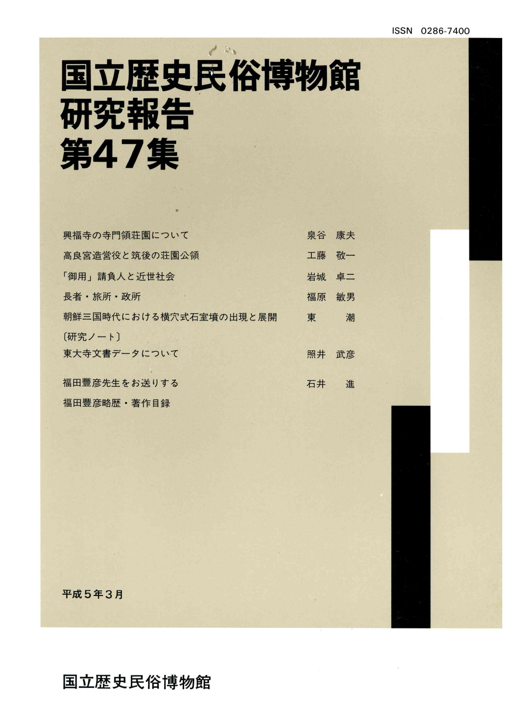# 国立歴史民俗博物館 研究報告 第47集

| 興福寺の寺門領荘園について          | 泉谷 | 康夫 |
|------------------------|----|----|
| 高良宮造営役と筑後の荘園公領         | 工藤 | 敬一 |
| 「御用」請負人と近世社会           | 岩城 | 卓二 |
| 長者・旅所・政所               | 福原 | 敏男 |
| 朝鮮三国時代における横穴式石室墳の出現と展開 | 東  | 潮  |
| [研究ノート]                |    |    |
| 東大寺文書データについて           | 照井 | 武彦 |
| 福田豐彦先生をお送りする           | 石井 | 進  |
| 福田豐彦略歴・著作目録            |    |    |

平成5年3月

#### 国立歴史民俗博物館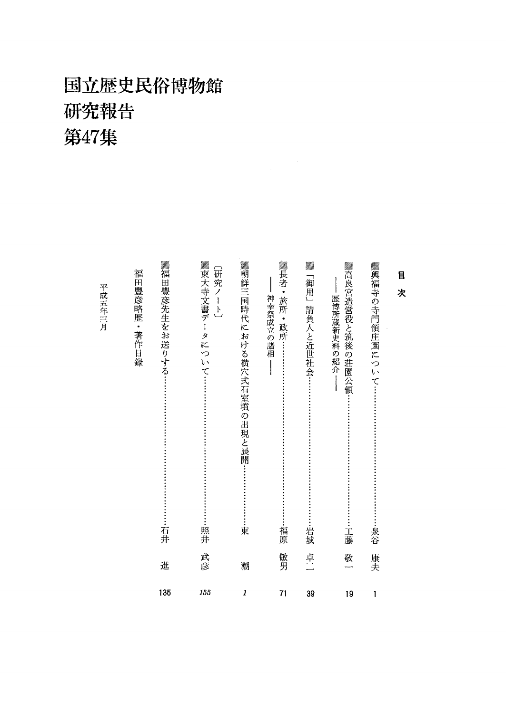## 国立歴史民俗博物館 研究報告 第47集

平成五年三月

| ▓長者・<br><b>▓朝鮮三国時代における横穴式石室墳の出現と展開・</b><br>UM).<br>Milio<br>▓興福寺の寺門領庄園について……<br>▓高良宮造営役と筑後の荘園公領<br>【研究ノート】<br>目<br>「御用」<br>次<br>神幸祭成立の諸相<br>旅所<br>歴博所蔵新史料の紹介<br>請負人と近世社会<br>.<br>・政所<br>岩城<br>東<br>福原<br>泉谷<br>工藤 | 敏男<br>卓二<br>敬<br>康夫<br>潮 | 1<br>71<br>39<br>19<br>1 |
|-------------------------------------------------------------------------------------------------------------------------------------------------------------------------------------------------------------------|--------------------------|--------------------------|
|                                                                                                                                                                                                                   |                          |                          |
|                                                                                                                                                                                                                   |                          |                          |
|                                                                                                                                                                                                                   |                          |                          |
|                                                                                                                                                                                                                   |                          |                          |
| ▓束大寺文書デー<br>タについて<br>照井                                                                                                                                                                                           | 武彦                       | 155                      |
| 福田豐彦略歴・著作目録<br>福<br>田豐彦先生をお送りする:<br>石井                                                                                                                                                                            | 進                        | 135                      |
|                                                                                                                                                                                                                   |                          |                          |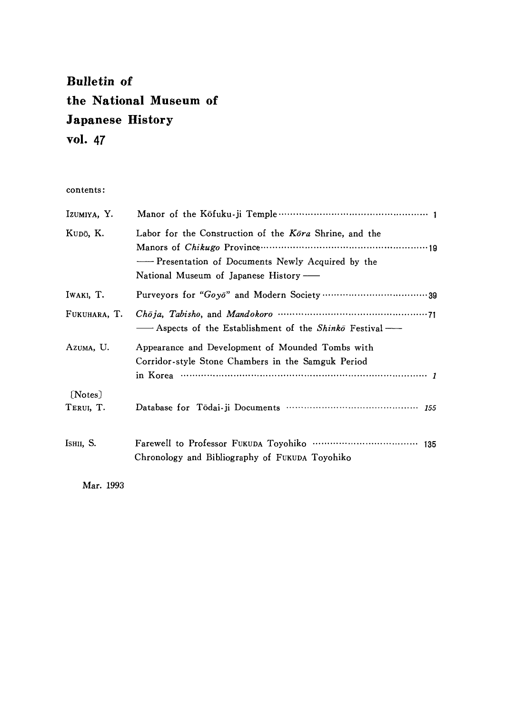### Bulletin of the National Museum of Japanese History vol.47

contents:

| IZUMIYA, Y.          |                                                                                                                                                                                                                                         |
|----------------------|-----------------------------------------------------------------------------------------------------------------------------------------------------------------------------------------------------------------------------------------|
| Kupō, K.             | Labor for the Construction of the Kora Shrine, and the<br>National Museum of Japanese History —                                                                                                                                         |
| IWAKI, T.            |                                                                                                                                                                                                                                         |
| FUKUHARA, T.         | - Aspects of the Establishment of the Shinko Festival -                                                                                                                                                                                 |
| Azuma, U.            | Appearance and Development of Mounded Tombs with<br>Corridor-style Stone Chambers in the Samguk Period<br>in Korea $\cdots$ $\cdots$ $\cdots$ $\cdots$ $\cdots$ $\cdots$ $\cdots$ $\cdots$ $\cdots$ $\cdots$ $\cdots$ $\cdots$ $\cdots$ |
| [Notes]<br>TERUI, T. |                                                                                                                                                                                                                                         |
| Ishii, S.            | Chronology and Bibliography of FUKUDA Toyohiko                                                                                                                                                                                          |

Mar.1993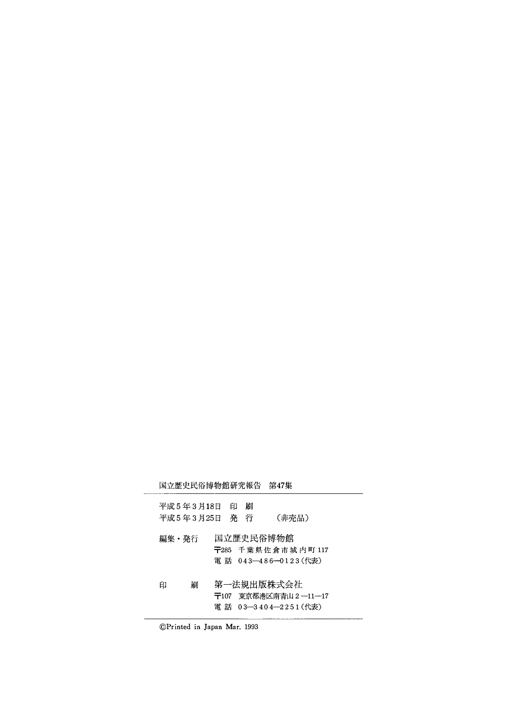国立歴史民俗博物館研究報告 第47集

|   | 平成 5 年 3 月18日<br>平成 5 年 3 月25日 | 印<br>発 | 刷<br>行 | (非売品)                                                        |
|---|--------------------------------|--------|--------|--------------------------------------------------------------|
|   | 編集・発行                          |        |        | 国立歴史民俗博物館<br>〒285 千葉県佐倉市城内町 117<br>電 話 043—486—0123(代表)      |
| 印 | 刷                              |        |        | 第一法規出版株式会社<br>〒107 東京都港区南青山 2 ―11―17<br>電 話 03—3404—2251(代表) |

©Printed in Japan Mar. 1993